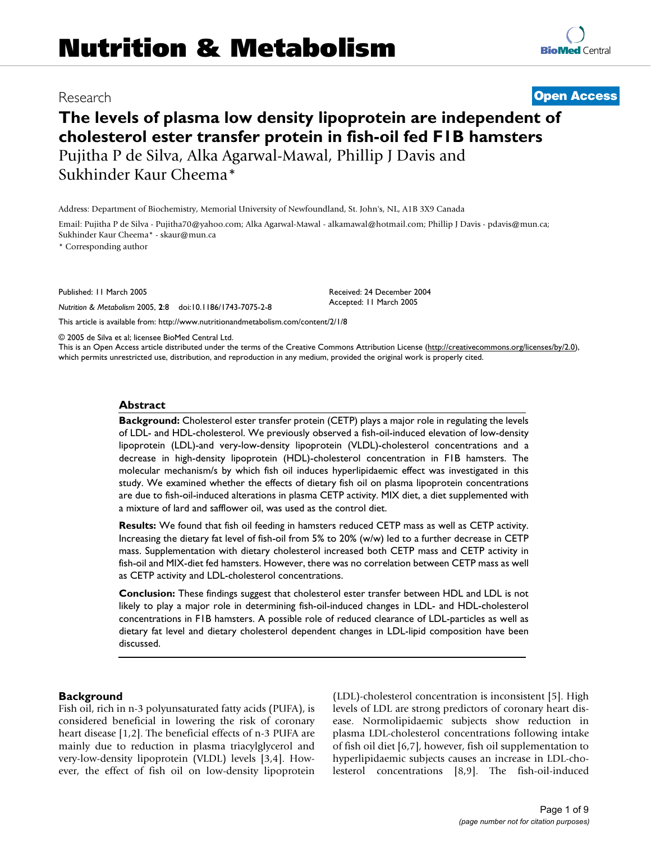# **Nutrition & Metabolism**

# **The levels of plasma low density lipoprotein are independent of cholesterol ester transfer protein in fish-oil fed F1B hamsters** Pujitha P de Silva, Alka Agarwal-Mawal, Phillip J Davis and Sukhinder Kaur Cheema\*

Address: Department of Biochemistry, Memorial University of Newfoundland, St. John's, NL, A1B 3X9 Canada

Email: Pujitha P de Silva - Pujitha70@yahoo.com; Alka Agarwal-Mawal - alkamawal@hotmail.com; Phillip J Davis - pdavis@mun.ca; Sukhinder Kaur Cheema\* - skaur@mun.ca

\* Corresponding author

Published: 11 March 2005

*Nutrition & Metabolism* 2005, **2**:8 doi:10.1186/1743-7075-2-8

[This article is available from: http://www.nutritionandmetabolism.com/content/2/1/8](http://www.nutritionandmetabolism.com/content/2/1/8)

© 2005 de Silva et al; licensee BioMed Central Ltd.

This is an Open Access article distributed under the terms of the Creative Commons Attribution License [\(http://creativecommons.org/licenses/by/2.0\)](http://creativecommons.org/licenses/by/2.0), which permits unrestricted use, distribution, and reproduction in any medium, provided the original work is properly cited.

#### **Abstract**

**Background:** Cholesterol ester transfer protein (CETP) plays a major role in regulating the levels of LDL- and HDL-cholesterol. We previously observed a fish-oil-induced elevation of low-density lipoprotein (LDL)-and very-low-density lipoprotein (VLDL)-cholesterol concentrations and a decrease in high-density lipoprotein (HDL)-cholesterol concentration in F1B hamsters. The molecular mechanism/s by which fish oil induces hyperlipidaemic effect was investigated in this study. We examined whether the effects of dietary fish oil on plasma lipoprotein concentrations are due to fish-oil-induced alterations in plasma CETP activity. MIX diet, a diet supplemented with a mixture of lard and safflower oil, was used as the control diet.

**Results:** We found that fish oil feeding in hamsters reduced CETP mass as well as CETP activity. Increasing the dietary fat level of fish-oil from 5% to 20% (w/w) led to a further decrease in CETP mass. Supplementation with dietary cholesterol increased both CETP mass and CETP activity in fish-oil and MIX-diet fed hamsters. However, there was no correlation between CETP mass as well as CETP activity and LDL-cholesterol concentrations.

**Conclusion:** These findings suggest that cholesterol ester transfer between HDL and LDL is not likely to play a major role in determining fish-oil-induced changes in LDL- and HDL-cholesterol concentrations in F1B hamsters. A possible role of reduced clearance of LDL-particles as well as dietary fat level and dietary cholesterol dependent changes in LDL-lipid composition have been discussed.

#### **Background**

Fish oil, rich in n-3 polyunsaturated fatty acids (PUFA), is considered beneficial in lowering the risk of coronary heart disease [1,2]. The beneficial effects of n-3 PUFA are mainly due to reduction in plasma triacylglycerol and very-low-density lipoprotein (VLDL) levels [3,4]. However, the effect of fish oil on low-density lipoprotein (LDL)-cholesterol concentration is inconsistent [5]. High levels of LDL are strong predictors of coronary heart disease. Normolipidaemic subjects show reduction in plasma LDL-cholesterol concentrations following intake of fish oil diet [6,7], however, fish oil supplementation to hyperlipidaemic subjects causes an increase in LDL-cholesterol concentrations [8,9]. The fish-oil-induced

# Research **[Open Access](http://www.biomedcentral.com/info/about/charter/)**

Received: 24 December 2004 Accepted: 11 March 2005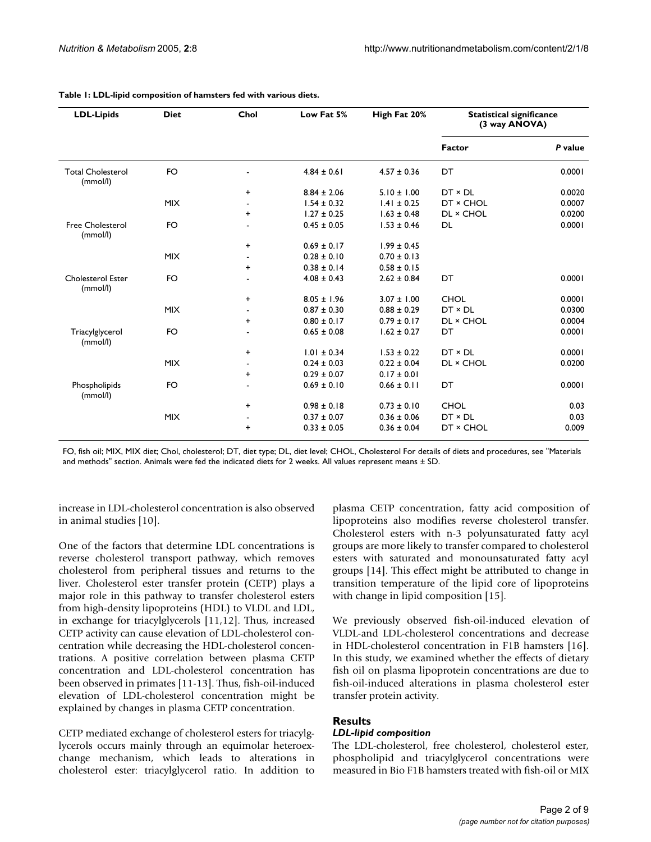| <b>LDL-Lipids</b>                    | <b>Diet</b> | Chol      | Low Fat 5%                         | High Fat 20%    | <b>Statistical significance</b><br>(3 way ANOVA) |         |
|--------------------------------------|-------------|-----------|------------------------------------|-----------------|--------------------------------------------------|---------|
|                                      |             |           |                                    |                 | <b>Factor</b>                                    | P value |
| <b>Total Cholesterol</b><br>(mmol/l) | <b>FO</b>   |           | $4.84 \pm 0.61$                    | $4.57 \pm 0.36$ | DT                                               | 0.0001  |
|                                      |             | $\ddot{}$ | $8.84 \pm 2.06$                    | $5.10 \pm 1.00$ | $DT \times DL$                                   | 0.0020  |
|                                      | <b>MIX</b>  |           | $1.54 \pm 0.32$                    | $1.41 \pm 0.25$ | DT × CHOL                                        | 0.0007  |
|                                      |             | +         | $1.27 \pm 0.25$                    | $1.63 \pm 0.48$ | DL × CHOL                                        | 0.0200  |
| <b>Free Cholesterol</b><br>(mmol/l)  | <b>FO</b>   |           | $0.45 \pm 0.05$                    | $1.53 \pm 0.46$ | DL                                               | 0.0001  |
|                                      |             | $\ddot{}$ | $0.69 \pm 0.17$                    | $1.99 \pm 0.45$ |                                                  |         |
|                                      | <b>MIX</b>  |           | $0.28 \pm 0.10$                    | $0.70 \pm 0.13$ |                                                  |         |
|                                      |             | +         | $0.38 \pm 0.14$<br>$0.58 \pm 0.15$ |                 |                                                  |         |
| <b>Cholesterol Ester</b><br>(mmol/l) | <b>FO</b>   |           | $4.08 \pm 0.43$                    | $2.62 \pm 0.84$ | DT                                               | 0.0001  |
|                                      |             | $\ddot{}$ | $8.05 \pm 1.96$                    | $3.07 \pm 1.00$ | <b>CHOL</b>                                      | 0.0001  |
|                                      | <b>MIX</b>  |           | $0.87 \pm 0.30$                    | $0.88 \pm 0.29$ | $DT \times DL$                                   | 0.0300  |
|                                      |             | +         | $0.80 \pm 0.17$                    | $0.79 \pm 0.17$ | DL × CHOL                                        | 0.0004  |
| Triacylglycerol<br>(mmol/l)          | <b>FO</b>   |           | $0.65 \pm 0.08$                    | $1.62 \pm 0.27$ | DT                                               | 0.0001  |
|                                      |             | $\ddot{}$ | $1.01 \pm 0.34$                    | $1.53 \pm 0.22$ | $DT \times DL$                                   | 0.0001  |
|                                      | <b>MIX</b>  |           | $0.24 \pm 0.03$                    | $0.22 \pm 0.04$ | DL × CHOL                                        | 0.0200  |
|                                      |             | +         | $0.29 \pm 0.07$                    | $0.17 \pm 0.01$ |                                                  |         |
| Phospholipids<br>(mmol/l)            | <b>FO</b>   |           | $0.69 \pm 0.10$                    | $0.66 \pm 0.11$ | DT                                               | 0.0001  |
|                                      |             | $\ddot{}$ | $0.98 \pm 0.18$                    | $0.73 \pm 0.10$ | <b>CHOL</b>                                      | 0.03    |
|                                      | <b>MIX</b>  |           | $0.37 \pm 0.07$                    | $0.36 \pm 0.06$ | $DT \times DL$                                   | 0.03    |
|                                      |             | +         | $0.33 \pm 0.05$                    | $0.36 \pm 0.04$ | DT × CHOL                                        | 0.009   |

**Table 1: LDL-lipid composition of hamsters fed with various diets.**

FO, fish oil; MIX, MIX diet; Chol, cholesterol; DT, diet type; DL, diet level; CHOL, Cholesterol For details of diets and procedures, see "Materials and methods" section. Animals were fed the indicated diets for 2 weeks. All values represent means ± SD.

increase in LDL-cholesterol concentration is also observed in animal studies [10].

One of the factors that determine LDL concentrations is reverse cholesterol transport pathway, which removes cholesterol from peripheral tissues and returns to the liver. Cholesterol ester transfer protein (CETP) plays a major role in this pathway to transfer cholesterol esters from high-density lipoproteins (HDL) to VLDL and LDL, in exchange for triacylglycerols [11,12]. Thus, increased CETP activity can cause elevation of LDL-cholesterol concentration while decreasing the HDL-cholesterol concentrations. A positive correlation between plasma CETP concentration and LDL-cholesterol concentration has been observed in primates [11-13]. Thus, fish-oil-induced elevation of LDL-cholesterol concentration might be explained by changes in plasma CETP concentration.

CETP mediated exchange of cholesterol esters for triacylglycerols occurs mainly through an equimolar heteroexchange mechanism, which leads to alterations in cholesterol ester: triacylglycerol ratio. In addition to

plasma CETP concentration, fatty acid composition of lipoproteins also modifies reverse cholesterol transfer. Cholesterol esters with n-3 polyunsaturated fatty acyl groups are more likely to transfer compared to cholesterol esters with saturated and monounsaturated fatty acyl groups [14]. This effect might be attributed to change in transition temperature of the lipid core of lipoproteins with change in lipid composition [15].

We previously observed fish-oil-induced elevation of VLDL-and LDL-cholesterol concentrations and decrease in HDL-cholesterol concentration in F1B hamsters [16]. In this study, we examined whether the effects of dietary fish oil on plasma lipoprotein concentrations are due to fish-oil-induced alterations in plasma cholesterol ester transfer protein activity.

## **Results**

#### *LDL-lipid composition*

The LDL-cholesterol, free cholesterol, cholesterol ester, phospholipid and triacylglycerol concentrations were measured in Bio F1B hamsters treated with fish-oil or MIX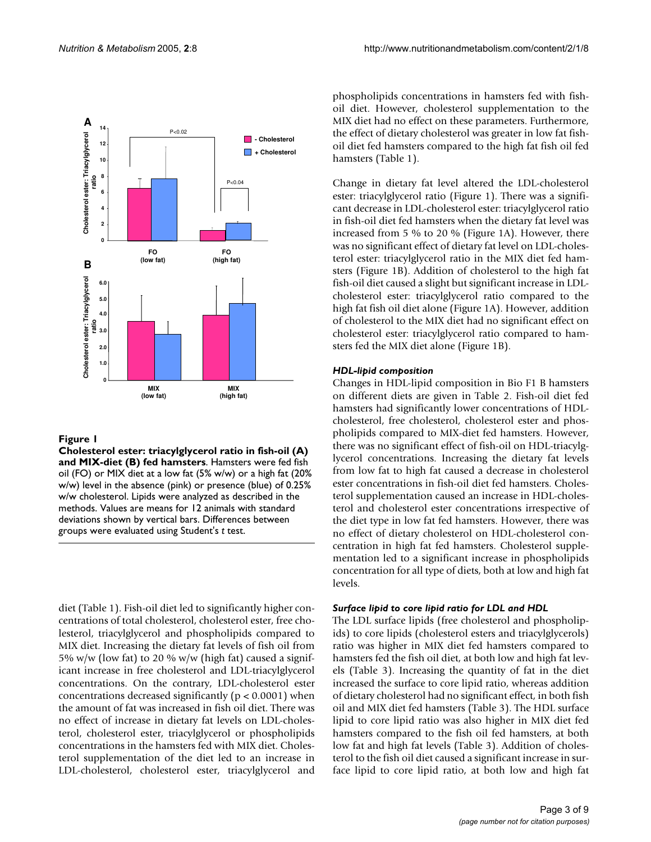

# Figure 1

**Cholesterol ester: triacylglycerol ratio in fish-oil (A) and MIX-diet (B) fed hamsters**. Hamsters were fed fish oil (FO) or MIX diet at a low fat (5% w/w) or a high fat (20% w/w) level in the absence (pink) or presence (blue) of 0.25% w/w cholesterol. Lipids were analyzed as described in the methods. Values are means for 12 animals with standard deviations shown by vertical bars. Differences between groups were evaluated using Student's *t* test.

diet (Table 1). Fish-oil diet led to significantly higher concentrations of total cholesterol, cholesterol ester, free cholesterol, triacylglycerol and phospholipids compared to MIX diet. Increasing the dietary fat levels of fish oil from 5% w/w (low fat) to 20 % w/w (high fat) caused a significant increase in free cholesterol and LDL-triacylglycerol concentrations. On the contrary, LDL-cholesterol ester concentrations decreased significantly ( $p < 0.0001$ ) when the amount of fat was increased in fish oil diet. There was no effect of increase in dietary fat levels on LDL-cholesterol, cholesterol ester, triacylglycerol or phospholipids concentrations in the hamsters fed with MIX diet. Cholesterol supplementation of the diet led to an increase in LDL-cholesterol, cholesterol ester, triacylglycerol and

phospholipids concentrations in hamsters fed with fishoil diet. However, cholesterol supplementation to the MIX diet had no effect on these parameters. Furthermore, the effect of dietary cholesterol was greater in low fat fishoil diet fed hamsters compared to the high fat fish oil fed hamsters (Table 1).

Change in dietary fat level altered the LDL-cholesterol ester: triacylglycerol ratio (Figure 1). There was a significant decrease in LDL-cholesterol ester: triacylglycerol ratio in fish-oil diet fed hamsters when the dietary fat level was increased from 5 % to 20 % (Figure 1A). However, there was no significant effect of dietary fat level on LDL-cholesterol ester: triacylglycerol ratio in the MIX diet fed hamsters (Figure 1B). Addition of cholesterol to the high fat fish-oil diet caused a slight but significant increase in LDLcholesterol ester: triacylglycerol ratio compared to the high fat fish oil diet alone (Figure 1A). However, addition of cholesterol to the MIX diet had no significant effect on cholesterol ester: triacylglycerol ratio compared to hamsters fed the MIX diet alone (Figure 1B).

### *HDL-lipid composition*

Changes in HDL-lipid composition in Bio F1 B hamsters on different diets are given in Table [2](#page-3-0). Fish-oil diet fed hamsters had significantly lower concentrations of HDLcholesterol, free cholesterol, cholesterol ester and phospholipids compared to MIX-diet fed hamsters. However, there was no significant effect of fish-oil on HDL-triacylglycerol concentrations. Increasing the dietary fat levels from low fat to high fat caused a decrease in cholesterol ester concentrations in fish-oil diet fed hamsters. Cholesterol supplementation caused an increase in HDL-cholesterol and cholesterol ester concentrations irrespective of the diet type in low fat fed hamsters. However, there was no effect of dietary cholesterol on HDL-cholesterol concentration in high fat fed hamsters. Cholesterol supplementation led to a significant increase in phospholipids concentration for all type of diets, both at low and high fat levels.

# *Surface lipid to core lipid ratio for LDL and HDL*

The LDL surface lipids (free cholesterol and phospholipids) to core lipids (cholesterol esters and triacylglycerols) ratio was higher in MIX diet fed hamsters compared to hamsters fed the fish oil diet, at both low and high fat levels (Table [3\)](#page-3-1). Increasing the quantity of fat in the diet increased the surface to core lipid ratio, whereas addition of dietary cholesterol had no significant effect, in both fish oil and MIX diet fed hamsters (Table [3\)](#page-3-1). The HDL surface lipid to core lipid ratio was also higher in MIX diet fed hamsters compared to the fish oil fed hamsters, at both low fat and high fat levels (Table [3](#page-3-1)). Addition of cholesterol to the fish oil diet caused a significant increase in surface lipid to core lipid ratio, at both low and high fat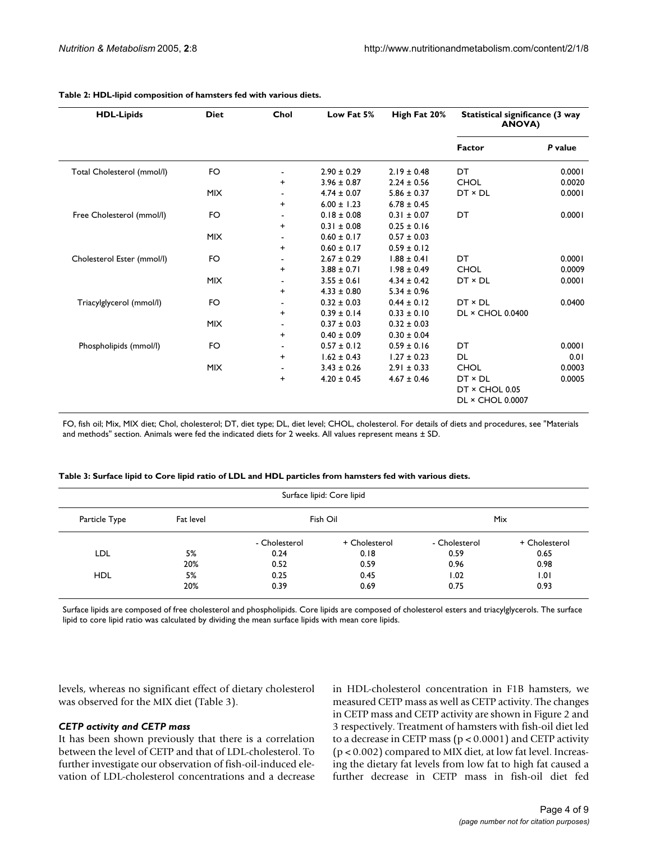| <b>HDL-Lipids</b>          | <b>Diet</b> | Chol      | Low Fat 5%      | High Fat 20%    | Statistical significance (3 way<br><b>ANOVA)</b>            |         |
|----------------------------|-------------|-----------|-----------------|-----------------|-------------------------------------------------------------|---------|
|                            |             |           |                 |                 | Factor                                                      | P value |
| Total Cholesterol (mmol/l) | FO          |           | $2.90 \pm 0.29$ | $2.19 \pm 0.48$ | DT                                                          | 0.0001  |
|                            |             | $\ddot{}$ | $3.96 \pm 0.87$ | $2.24 \pm 0.56$ | <b>CHOL</b>                                                 | 0.0020  |
|                            | <b>MIX</b>  |           | $4.74 \pm 0.07$ | $5.86 \pm 0.37$ | DT × DL                                                     | 0.0001  |
|                            |             | $\ddot{}$ | $6.00 \pm 1.23$ | $6.78 \pm 0.45$ |                                                             |         |
| Free Cholesterol (mmol/l)  | FO          |           | $0.18 \pm 0.08$ | $0.31 \pm 0.07$ | DT                                                          | 0.0001  |
|                            |             | $\ddot{}$ | $0.31 \pm 0.08$ | $0.25 \pm 0.16$ |                                                             |         |
|                            | <b>MIX</b>  |           | $0.60 \pm 0.17$ | $0.57 \pm 0.03$ |                                                             |         |
|                            |             | $\ddot{}$ | $0.60 \pm 0.17$ | $0.59 \pm 0.12$ |                                                             |         |
| Cholesterol Ester (mmol/l) | FO          |           | $2.67 \pm 0.29$ | $1.88 \pm 0.41$ | DT                                                          | 0.0001  |
|                            |             | +         | $3.88 \pm 0.71$ | $1.98 \pm 0.49$ | <b>CHOL</b>                                                 | 0.0009  |
|                            | <b>MIX</b>  |           | $3.55 \pm 0.61$ | $4.34 \pm 0.42$ | $DT \times DL$                                              | 0.0001  |
|                            |             | $\ddot{}$ | $4.33 \pm 0.80$ | $5.34 \pm 0.96$ |                                                             |         |
| Triacylglycerol (mmol/l)   | FO          |           | $0.32 \pm 0.03$ | $0.44 \pm 0.12$ | $DT \times DL$                                              | 0.0400  |
|                            |             | $\ddot{}$ | $0.39 \pm 0.14$ | $0.33 \pm 0.10$ | DL × CHOL 0.0400                                            |         |
|                            | <b>MIX</b>  |           | $0.37 \pm 0.03$ | $0.32 \pm 0.03$ |                                                             |         |
|                            |             | +         | $0.40 \pm 0.09$ | $0.30 \pm 0.04$ |                                                             |         |
| Phospholipids (mmol/l)     | FO          |           | $0.57 \pm 0.12$ | $0.59 \pm 0.16$ | DT                                                          | 0.0001  |
|                            |             | $\ddot{}$ | $1.62 \pm 0.43$ | $1.27 \pm 0.23$ | <b>DL</b>                                                   | 0.01    |
|                            | <b>MIX</b>  |           | $3.43 \pm 0.26$ | $2.91 \pm 0.33$ | <b>CHOL</b>                                                 | 0.0003  |
|                            |             | +         | $4.20 \pm 0.45$ | $4.67 \pm 0.46$ | $DT \times DL$<br>DT × CHOL 0.05<br><b>DL × CHOL 0.0007</b> | 0.0005  |

#### <span id="page-3-0"></span>**Table 2: HDL-lipid composition of hamsters fed with various diets.**

FO, fish oil; Mix, MIX diet; Chol, cholesterol; DT, diet type; DL, diet level; CHOL, cholesterol. For details of diets and procedures, see "Materials and methods" section. Animals were fed the indicated diets for 2 weeks. All values represent means ± SD.

<span id="page-3-1"></span>

|  |  |  | Table 3: Surface lipid to Core lipid ratio of LDL and HDL particles from hamsters fed with various diets. |
|--|--|--|-----------------------------------------------------------------------------------------------------------|
|--|--|--|-----------------------------------------------------------------------------------------------------------|

| Surface lipid: Core lipid |           |               |               |               |               |  |
|---------------------------|-----------|---------------|---------------|---------------|---------------|--|
| Particle Type             | Fat level |               | Fish Oil      |               | Mix           |  |
|                           |           | - Cholesterol | + Cholesterol | - Cholesterol | + Cholesterol |  |
| LDL                       | 5%        | 0.24          | 0.18          | 0.59          | 0.65          |  |
|                           | 20%       | 0.52          | 0.59          | 0.96          | 0.98          |  |
| <b>HDL</b>                | 5%        | 0.25          | 0.45          | 1.02          | 1.01          |  |
|                           | 20%       | 0.39          | 0.69          | 0.75          | 0.93          |  |

Surface lipids are composed of free cholesterol and phospholipids. Core lipids are composed of cholesterol esters and triacylglycerols. The surface lipid to core lipid ratio was calculated by dividing the mean surface lipids with mean core lipids.

levels, whereas no significant effect of dietary cholesterol was observed for the MIX diet (Table [3\)](#page-3-1).

#### *CETP activity and CETP mass*

It has been shown previously that there is a correlation between the level of CETP and that of LDL-cholesterol. To further investigate our observation of fish-oil-induced elevation of LDL-cholesterol concentrations and a decrease in HDL-cholesterol concentration in F1B hamsters, we measured CETP mass as well as CETP activity. The changes in CETP mass and CETP activity are shown in Figure 2 and 3 respectively. Treatment of hamsters with fish-oil diet led to a decrease in CETP mass  $(p < 0.0001)$  and CETP activity (p < 0.002) compared to MIX diet, at low fat level. Increasing the dietary fat levels from low fat to high fat caused a further decrease in CETP mass in fish-oil diet fed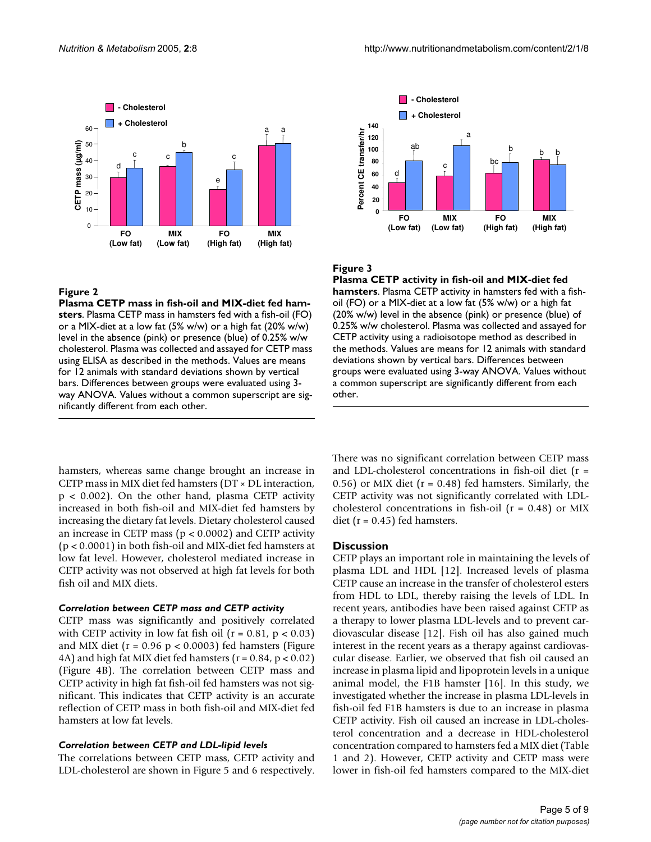

#### **Figure 2**

**Plasma CETP mass in fish-oil and MIX-diet fed hamsters**. Plasma CETP mass in hamsters fed with a fish-oil (FO) or a MIX-diet at a low fat (5% w/w) or a high fat (20% w/w) level in the absence (pink) or presence (blue) of 0.25% w/w cholesterol. Plasma was collected and assayed for CETP mass using ELISA as described in the methods. Values are means for 12 animals with standard deviations shown by vertical bars. Differences between groups were evaluated using 3 way ANOVA. Values without a common superscript are significantly different from each other.



#### **Figure 3**

**Plasma CETP activity in fish-oil and MIX-diet fed hamsters**. Plasma CETP activity in hamsters fed with a fishoil (FO) or a MIX-diet at a low fat (5% w/w) or a high fat (20% w/w) level in the absence (pink) or presence (blue) of 0.25% w/w cholesterol. Plasma was collected and assayed for CETP activity using a radioisotope method as described in the methods. Values are means for 12 animals with standard deviations shown by vertical bars. Differences between groups were evaluated using 3-way ANOVA. Values without a common superscript are significantly different from each other.

hamsters, whereas same change brought an increase in CETP mass in MIX diet fed hamsters (DT × DL interaction,  $p < 0.002$ ). On the other hand, plasma CETP activity increased in both fish-oil and MIX-diet fed hamsters by increasing the dietary fat levels. Dietary cholesterol caused an increase in CETP mass ( $p < 0.0002$ ) and CETP activity (p < 0.0001) in both fish-oil and MIX-diet fed hamsters at low fat level. However, cholesterol mediated increase in CETP activity was not observed at high fat levels for both fish oil and MIX diets.

#### *Correlation between CETP mass and CETP activity*

CETP mass was significantly and positively correlated with CETP activity in low fat fish oil  $(r = 0.81, p < 0.03)$ and MIX diet ( $r = 0.96$  p < 0.0003) fed hamsters (Figure 4A) and high fat MIX diet fed hamsters ( $r = 0.84$ ,  $p < 0.02$ ) (Figure 4B). The correlation between CETP mass and CETP activity in high fat fish-oil fed hamsters was not significant. This indicates that CETP activity is an accurate reflection of CETP mass in both fish-oil and MIX-diet fed hamsters at low fat levels.

#### *Correlation between CETP and LDL-lipid levels*

The correlations between CETP mass, CETP activity and LDL-cholesterol are shown in Figure [5](#page-5-0) and [6](#page-5-1) respectively.

There was no significant correlation between CETP mass and LDL-cholesterol concentrations in fish-oil diet (r = 0.56) or MIX diet ( $r = 0.48$ ) fed hamsters. Similarly, the CETP activity was not significantly correlated with LDLcholesterol concentrations in fish-oil  $(r = 0.48)$  or MIX diet ( $r = 0.45$ ) fed hamsters.

#### **Discussion**

CETP plays an important role in maintaining the levels of plasma LDL and HDL [12]. Increased levels of plasma CETP cause an increase in the transfer of cholesterol esters from HDL to LDL, thereby raising the levels of LDL. In recent years, antibodies have been raised against CETP as a therapy to lower plasma LDL-levels and to prevent cardiovascular disease [12]. Fish oil has also gained much interest in the recent years as a therapy against cardiovascular disease. Earlier, we observed that fish oil caused an increase in plasma lipid and lipoprotein levels in a unique animal model, the F1B hamster [16]. In this study, we investigated whether the increase in plasma LDL-levels in fish-oil fed F1B hamsters is due to an increase in plasma CETP activity. Fish oil caused an increase in LDL-cholesterol concentration and a decrease in HDL-cholesterol concentration compared to hamsters fed a MIX diet (Table 1 and [2\)](#page-3-0). However, CETP activity and CETP mass were lower in fish-oil fed hamsters compared to the MIX-diet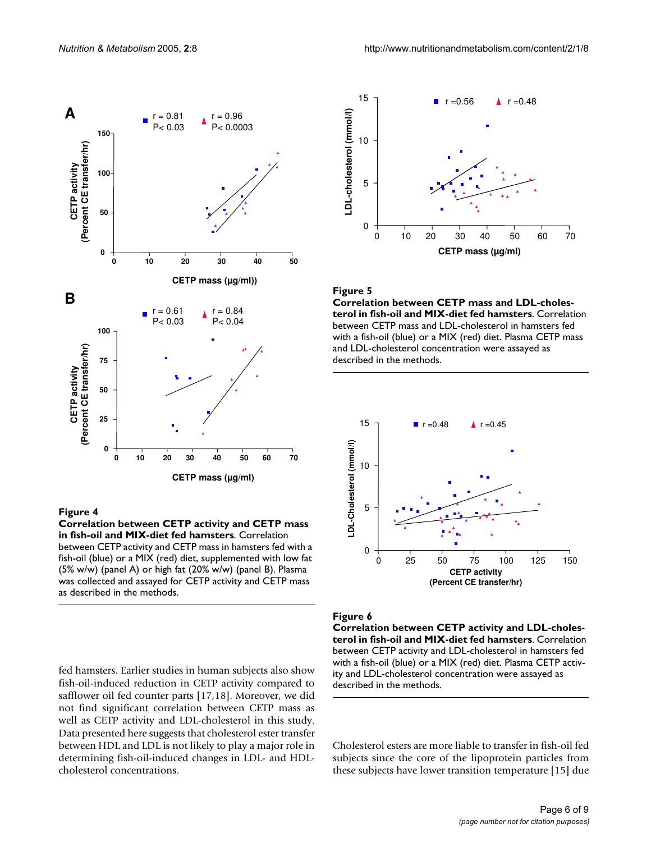

#### Figure 4

**Correlation between CETP activity and CETP mass in fish-oil and MIX-diet fed hamsters**. Correlation between CETP activity and CETP mass in hamsters fed with a fish-oil (blue) or a MIX (red) diet, supplemented with low fat (5% w/w) (panel A) or high fat (20% w/w) (panel B). Plasma was collected and assayed for CETP activity and CETP mass as described in the methods.

fed hamsters. Earlier studies in human subjects also show fish-oil-induced reduction in CETP activity compared to safflower oil fed counter parts [17,18]. Moreover, we did not find significant correlation between CETP mass as well as CETP activity and LDL-cholesterol in this study. Data presented here suggests that cholesterol ester transfer between HDL and LDL is not likely to play a major role in determining fish-oil-induced changes in LDL- and HDLcholesterol concentrations.

<span id="page-5-0"></span>

#### Figure 5

<span id="page-5-1"></span>**Correlation between CETP mass and LDL-cholesterol in fish-oil and MIX-diet fed hamsters**. Correlation between CETP mass and LDL-cholesterol in hamsters fed with a fish-oil (blue) or a MIX (red) diet. Plasma CETP mass and LDL-cholesterol concentration were assayed as described in the methods.



#### Figure 6

**Correlation between CETP activity and LDL-cholesterol in fish-oil and MIX-diet fed hamsters**. Correlation between CETP activity and LDL-cholesterol in hamsters fed with a fish-oil (blue) or a MIX (red) diet. Plasma CETP activity and LDL-cholesterol concentration were assayed as described in the methods.

Cholesterol esters are more liable to transfer in fish-oil fed subjects since the core of the lipoprotein particles from these subjects have lower transition temperature [15] due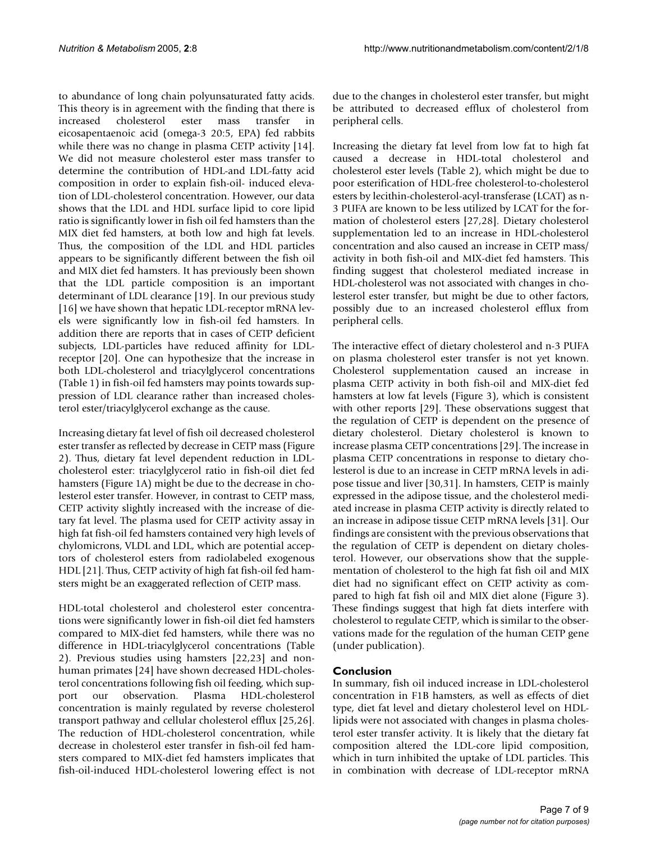to abundance of long chain polyunsaturated fatty acids. This theory is in agreement with the finding that there is increased cholesterol ester mass transfer in eicosapentaenoic acid (omega-3 20:5, EPA) fed rabbits while there was no change in plasma CETP activity [14]. We did not measure cholesterol ester mass transfer to determine the contribution of HDL-and LDL-fatty acid composition in order to explain fish-oil- induced elevation of LDL-cholesterol concentration. However, our data shows that the LDL and HDL surface lipid to core lipid ratio is significantly lower in fish oil fed hamsters than the MIX diet fed hamsters, at both low and high fat levels. Thus, the composition of the LDL and HDL particles appears to be significantly different between the fish oil and MIX diet fed hamsters. It has previously been shown that the LDL particle composition is an important determinant of LDL clearance [19]. In our previous study [16] we have shown that hepatic LDL-receptor mRNA levels were significantly low in fish-oil fed hamsters. In addition there are reports that in cases of CETP deficient subjects, LDL-particles have reduced affinity for LDLreceptor [20]. One can hypothesize that the increase in both LDL-cholesterol and triacylglycerol concentrations (Table 1) in fish-oil fed hamsters may points towards suppression of LDL clearance rather than increased cholesterol ester/triacylglycerol exchange as the cause.

Increasing dietary fat level of fish oil decreased cholesterol ester transfer as reflected by decrease in CETP mass (Figure 2). Thus, dietary fat level dependent reduction in LDLcholesterol ester: triacylglycerol ratio in fish-oil diet fed hamsters (Figure 1A) might be due to the decrease in cholesterol ester transfer. However, in contrast to CETP mass, CETP activity slightly increased with the increase of dietary fat level. The plasma used for CETP activity assay in high fat fish-oil fed hamsters contained very high levels of chylomicrons, VLDL and LDL, which are potential acceptors of cholesterol esters from radiolabeled exogenous HDL [21]. Thus, CETP activity of high fat fish-oil fed hamsters might be an exaggerated reflection of CETP mass.

HDL-total cholesterol and cholesterol ester concentrations were significantly lower in fish-oil diet fed hamsters compared to MIX-diet fed hamsters, while there was no difference in HDL-triacylglycerol concentrations (Table [2\)](#page-3-0). Previous studies using hamsters [22,23] and nonhuman primates [24] have shown decreased HDL-cholesterol concentrations following fish oil feeding, which support our observation. Plasma HDL-cholesterol concentration is mainly regulated by reverse cholesterol transport pathway and cellular cholesterol efflux [25,26]. The reduction of HDL-cholesterol concentration, while decrease in cholesterol ester transfer in fish-oil fed hamsters compared to MIX-diet fed hamsters implicates that fish-oil-induced HDL-cholesterol lowering effect is not

due to the changes in cholesterol ester transfer, but might be attributed to decreased efflux of cholesterol from peripheral cells.

Increasing the dietary fat level from low fat to high fat caused a decrease in HDL-total cholesterol and cholesterol ester levels (Table [2\)](#page-3-0), which might be due to poor esterification of HDL-free cholesterol-to-cholesterol esters by lecithin-cholesterol-acyl-transferase (LCAT) as n-3 PUFA are known to be less utilized by LCAT for the formation of cholesterol esters [27,28]. Dietary cholesterol supplementation led to an increase in HDL-cholesterol concentration and also caused an increase in CETP mass/ activity in both fish-oil and MIX-diet fed hamsters. This finding suggest that cholesterol mediated increase in HDL-cholesterol was not associated with changes in cholesterol ester transfer, but might be due to other factors, possibly due to an increased cholesterol efflux from peripheral cells.

The interactive effect of dietary cholesterol and n-3 PUFA on plasma cholesterol ester transfer is not yet known. Cholesterol supplementation caused an increase in plasma CETP activity in both fish-oil and MIX-diet fed hamsters at low fat levels (Figure 3), which is consistent with other reports [29]. These observations suggest that the regulation of CETP is dependent on the presence of dietary cholesterol. Dietary cholesterol is known to increase plasma CETP concentrations [29]. The increase in plasma CETP concentrations in response to dietary cholesterol is due to an increase in CETP mRNA levels in adipose tissue and liver [30,31]. In hamsters, CETP is mainly expressed in the adipose tissue, and the cholesterol mediated increase in plasma CETP activity is directly related to an increase in adipose tissue CETP mRNA levels [31]. Our findings are consistent with the previous observations that the regulation of CETP is dependent on dietary cholesterol. However, our observations show that the supplementation of cholesterol to the high fat fish oil and MIX diet had no significant effect on CETP activity as compared to high fat fish oil and MIX diet alone (Figure 3). These findings suggest that high fat diets interfere with cholesterol to regulate CETP, which is similar to the observations made for the regulation of the human CETP gene (under publication).

# **Conclusion**

In summary, fish oil induced increase in LDL-cholesterol concentration in F1B hamsters, as well as effects of diet type, diet fat level and dietary cholesterol level on HDLlipids were not associated with changes in plasma cholesterol ester transfer activity. It is likely that the dietary fat composition altered the LDL-core lipid composition, which in turn inhibited the uptake of LDL particles. This in combination with decrease of LDL-receptor mRNA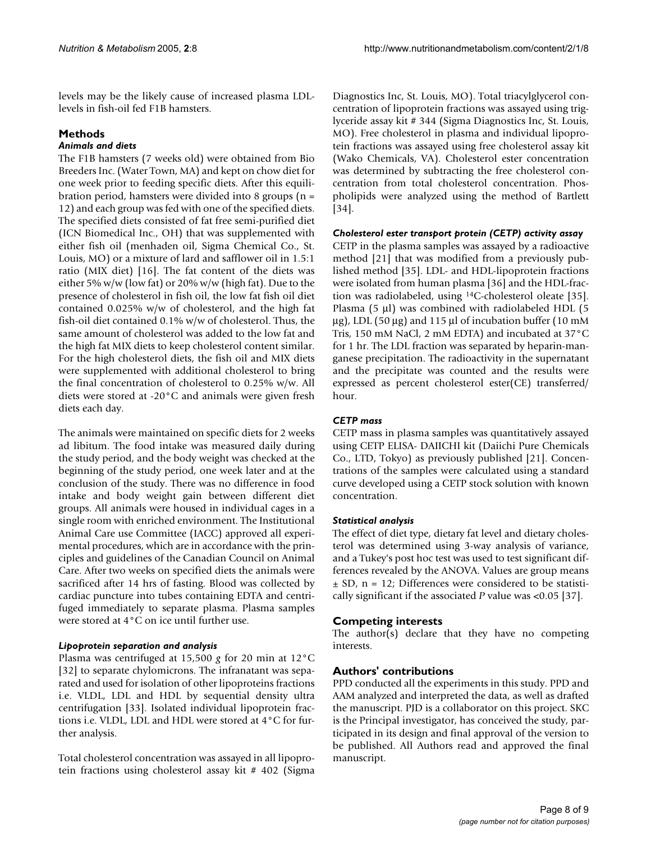levels may be the likely cause of increased plasma LDLlevels in fish-oil fed F1B hamsters.

# **Methods**

# *Animals and diets*

The F1B hamsters (7 weeks old) were obtained from Bio Breeders Inc. (Water Town, MA) and kept on chow diet for one week prior to feeding specific diets. After this equilibration period, hamsters were divided into 8 groups (n = 12) and each group was fed with one of the specified diets. The specified diets consisted of fat free semi-purified diet (ICN Biomedical Inc., OH) that was supplemented with either fish oil (menhaden oil, Sigma Chemical Co., St. Louis, MO) or a mixture of lard and safflower oil in 1.5:1 ratio (MIX diet) [16]. The fat content of the diets was either 5% w/w (low fat) or 20% w/w (high fat). Due to the presence of cholesterol in fish oil, the low fat fish oil diet contained 0.025% w/w of cholesterol, and the high fat fish-oil diet contained 0.1% w/w of cholesterol. Thus, the same amount of cholesterol was added to the low fat and the high fat MIX diets to keep cholesterol content similar. For the high cholesterol diets, the fish oil and MIX diets were supplemented with additional cholesterol to bring the final concentration of cholesterol to 0.25% w/w. All diets were stored at -20°C and animals were given fresh diets each day.

The animals were maintained on specific diets for 2 weeks ad libitum. The food intake was measured daily during the study period, and the body weight was checked at the beginning of the study period, one week later and at the conclusion of the study. There was no difference in food intake and body weight gain between different diet groups. All animals were housed in individual cages in a single room with enriched environment. The Institutional Animal Care use Committee (IACC) approved all experimental procedures, which are in accordance with the principles and guidelines of the Canadian Council on Animal Care. After two weeks on specified diets the animals were sacrificed after 14 hrs of fasting. Blood was collected by cardiac puncture into tubes containing EDTA and centrifuged immediately to separate plasma. Plasma samples were stored at 4°C on ice until further use.

# *Lipoprotein separation and analysis*

Plasma was centrifuged at 15,500 *g* for 20 min at 12°C [32] to separate chylomicrons. The infranatant was separated and used for isolation of other lipoproteins fractions i.e. VLDL, LDL and HDL by sequential density ultra centrifugation [33]. Isolated individual lipoprotein fractions i.e. VLDL, LDL and HDL were stored at 4°C for further analysis.

Total cholesterol concentration was assayed in all lipoprotein fractions using cholesterol assay kit # 402 (Sigma Diagnostics Inc, St. Louis, MO). Total triacylglycerol concentration of lipoprotein fractions was assayed using triglyceride assay kit # 344 (Sigma Diagnostics Inc, St. Louis, MO). Free cholesterol in plasma and individual lipoprotein fractions was assayed using free cholesterol assay kit (Wako Chemicals, VA). Cholesterol ester concentration was determined by subtracting the free cholesterol concentration from total cholesterol concentration. Phospholipids were analyzed using the method of Bartlett [34].

# *Cholesterol ester transport protein (CETP) activity assay*

CETP in the plasma samples was assayed by a radioactive method [21] that was modified from a previously published method [35]. LDL- and HDL-lipoprotein fractions were isolated from human plasma [36] and the HDL-fraction was radiolabeled, using 14C-cholesterol oleate [35]. Plasma (5 µl) was combined with radiolabeled HDL (5  $\mu$ g), LDL (50  $\mu$ g) and 115  $\mu$ l of incubation buffer (10 mM Tris, 150 mM NaCl, 2 mM EDTA) and incubated at 37°C for 1 hr. The LDL fraction was separated by heparin-manganese precipitation. The radioactivity in the supernatant and the precipitate was counted and the results were expressed as percent cholesterol ester(CE) transferred/ hour.

# *CETP mass*

CETP mass in plasma samples was quantitatively assayed using CETP ELISA- DAIICHI kit (Daiichi Pure Chemicals Co., LTD, Tokyo) as previously published [21]. Concentrations of the samples were calculated using a standard curve developed using a CETP stock solution with known concentration.

# *Statistical analysis*

The effect of diet type, dietary fat level and dietary cholesterol was determined using 3-way analysis of variance, and a Tukey's post hoc test was used to test significant differences revealed by the ANOVA. Values are group means  $\pm$  SD, n = 12; Differences were considered to be statistically significant if the associated *P* value was <0.05 [37].

# **Competing interests**

The author(s) declare that they have no competing interests.

# **Authors' contributions**

PPD conducted all the experiments in this study. PPD and AAM analyzed and interpreted the data, as well as drafted the manuscript. PJD is a collaborator on this project. SKC is the Principal investigator, has conceived the study, participated in its design and final approval of the version to be published. All Authors read and approved the final manuscript.